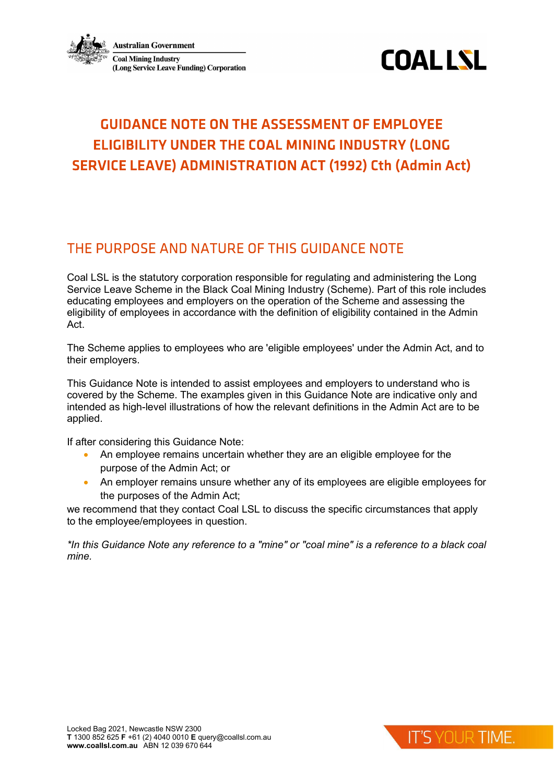



# **GUIDANCE NOTE ON THE ASSESSMENT OF EMPLOYEE** ELIGIBILITY UNDER THE COAL MINING INDUSTRY (LONG **SERVICE LEAVE) ADMINISTRATION ACT (1992) Cth (Admin Act)**

## THE PURPOSE AND NATURE OF THIS GUIDANCE NOTE

Coal LSL is the statutory corporation responsible for regulating and administering the Long Service Leave Scheme in the Black Coal Mining Industry (Scheme). Part of this role includes educating employees and employers on the operation of the Scheme and assessing the eligibility of employees in accordance with the definition of eligibility contained in the Admin Act.

The Scheme applies to employees who are 'eligible employees' under the Admin Act, and to their employers.

This Guidance Note is intended to assist employees and employers to understand who is covered by the Scheme. The examples given in this Guidance Note are indicative only and intended as high-level illustrations of how the relevant definitions in the Admin Act are to be applied.

If after considering this Guidance Note:

- An employee remains uncertain whether they are an eligible employee for the purpose of the Admin Act; or
- An employer remains unsure whether any of its employees are eligible employees for the purposes of the Admin Act;

we recommend that they contact Coal LSL to discuss the specific circumstances that apply to the employee/employees in question.

\*In this Guidance Note any reference to a "mine" or "coal mine" is a reference to a black coal mine.

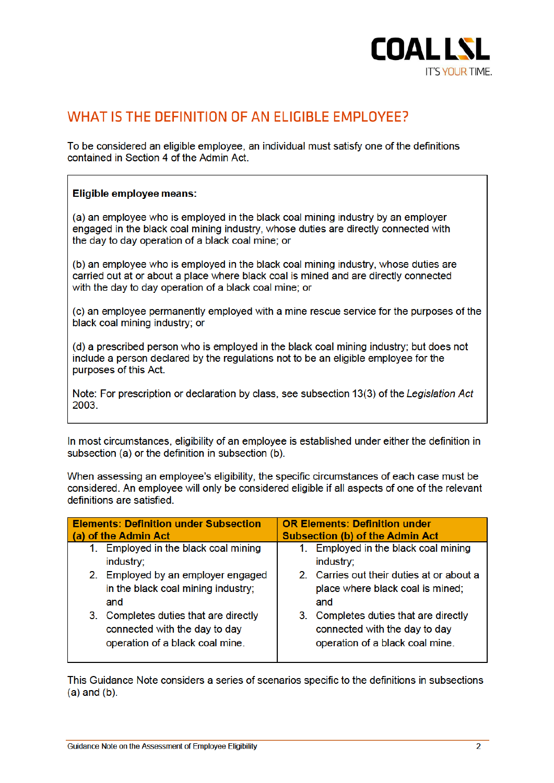

## WHAT IS THE DEFINITION OF AN ELIGIBLE EMPLOYEE?

To be considered an eligible employee, an individual must satisfy one of the definitions contained in Section 4 of the Admin Act.

### Eligible employee means:

(a) an employee who is employed in the black coal mining industry by an employer engaged in the black coal mining industry, whose duties are directly connected with the day to day operation of a black coal mine: or

(b) an employee who is employed in the black coal mining industry, whose duties are carried out at or about a place where black coal is mined and are directly connected with the day to day operation of a black coal mine; or

(c) an employee permanently employed with a mine rescue service for the purposes of the black coal mining industry: or

(d) a prescribed person who is employed in the black coal mining industry; but does not include a person declared by the regulations not to be an eligible employee for the purposes of this Act.

Note: For prescription or declaration by class, see subsection 13(3) of the Legislation Act 2003

In most circumstances, eligibility of an employee is established under either the definition in subsection (a) or the definition in subsection (b).

When assessing an employee's eligibility, the specific circumstances of each case must be considered. An employee will only be considered eligible if all aspects of one of the relevant definitions are satisfied.

| <b>Elements: Definition under Subsection</b>                                                                 | <b>OR Elements: Definition under</b>                                                                      |
|--------------------------------------------------------------------------------------------------------------|-----------------------------------------------------------------------------------------------------------|
| (a) of the Admin Act                                                                                         | <b>Subsection (b) of the Admin Act</b>                                                                    |
| 1. Employed in the black coal mining<br>industry;                                                            | Employed in the black coal mining<br>1.<br>industry;                                                      |
| 2. Employed by an employer engaged                                                                           | 2. Carries out their duties at or about a                                                                 |
| in the black coal mining industry;                                                                           | place where black coal is mined;                                                                          |
| and                                                                                                          | and                                                                                                       |
| Completes duties that are directly<br>3.<br>connected with the day to day<br>operation of a black coal mine. | 3. Completes duties that are directly<br>connected with the day to day<br>operation of a black coal mine. |

This Guidance Note considers a series of scenarios specific to the definitions in subsections  $(a)$  and  $(b)$ .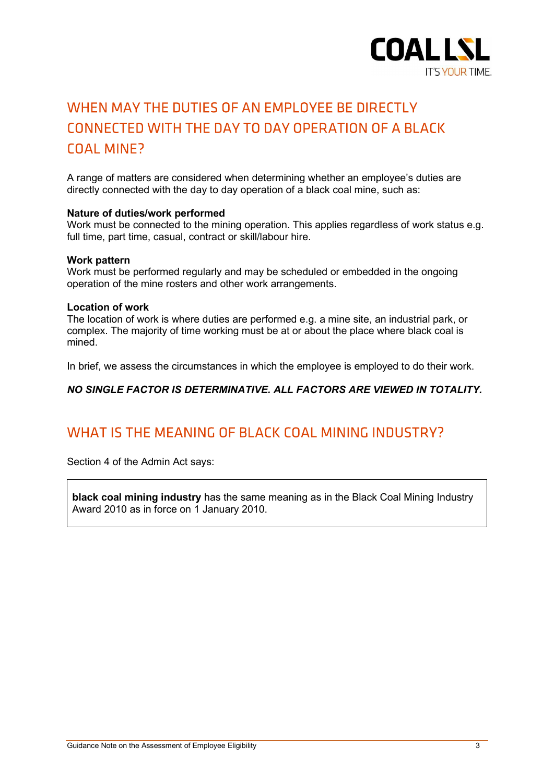

# WHEN MAY THE DUTIES OF AN EMPLOYEE BE DIRECTLY CONNECTED WITH THE DAY TO DAY OPERATION OF A BLACK **COAL MINE?**

A range of matters are considered when determining whether an employee's duties are directly connected with the day to day operation of a black coal mine, such as:

#### Nature of duties/work performed

Work must be connected to the mining operation. This applies regardless of work status e.g. full time, part time, casual, contract or skill/labour hire.

#### Work pattern

Work must be performed regularly and may be scheduled or embedded in the ongoing operation of the mine rosters and other work arrangements.

#### Location of work

The location of work is where duties are performed e.g. a mine site, an industrial park, or complex. The majority of time working must be at or about the place where black coal is mined.

In brief, we assess the circumstances in which the employee is employed to do their work.

NO SINGLE FACTOR IS DETERMINATIVE. ALL FACTORS ARE VIEWED IN TOTALITY.

## WHAT IS THE MEANING OF BLACK COAL MINING INDUSTRY?

Section 4 of the Admin Act says:

black coal mining industry has the same meaning as in the Black Coal Mining Industry Award 2010 as in force on 1 January 2010.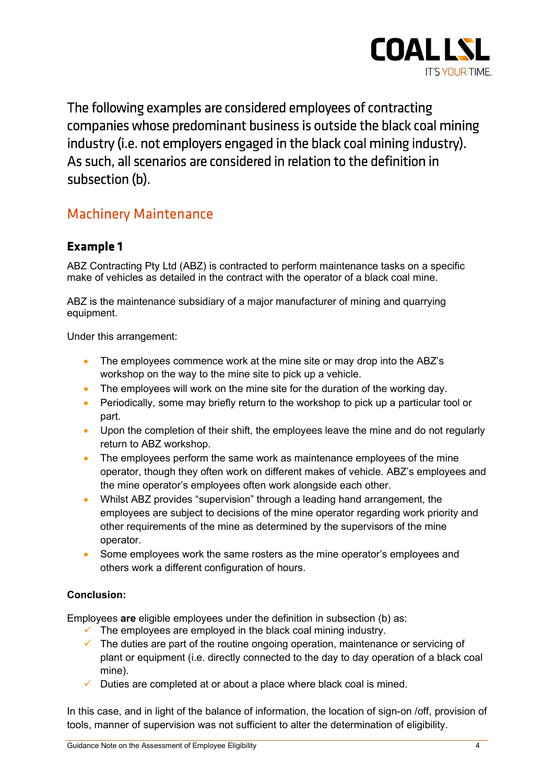

The following examples are considered employees of contracting companies whose predominant business is outside the black coal mining industry (i.e. not employers engaged in the black coal mining industry). As such, all scenarios are considered in relation to the definition in subsection (b).

## **Machinery Maintenance**

## **Example 1**

ABZ Contracting Pty Ltd (ABZ) is contracted to perform maintenance tasks on a specific make of vehicles as detailed in the contract with the operator of a black coal mine.

ABZ is the maintenance subsidiary of a major manufacturer of mining and quarrying equipment.

Under this arrangement:

- The employees commence work at the mine site or may drop into the ABZ's workshop on the way to the mine site to pick up a vehicle.
- The employees will work on the mine site for the duration of the working day.
- Periodically, some may briefly return to the workshop to pick up a particular tool or part.
- Upon the completion of their shift, the employees leave the mine and do not regularly return to ABZ workshop.
- The employees perform the same work as maintenance employees of the mine operator, though they often work on different makes of vehicle. ABZ's employees and the mine operator's employees often work alongside each other.
- Whilst ABZ provides "supervision" through a leading hand arrangement, the employees are subject to decisions of the mine operator regarding work priority and other requirements of the mine as determined by the supervisors of the mine operator.
- Some employees work the same rosters as the mine operator's employees and others work a different configuration of hours.

### Conclusion:

Employees are eligible employees under the definition in subsection (b) as:

- $\checkmark$  The employees are employed in the black coal mining industry.
- $\checkmark$  The duties are part of the routine ongoing operation, maintenance or servicing of plant or equipment (i.e. directly connected to the day to day operation of a black coal mine).
- $\checkmark$  Duties are completed at or about a place where black coal is mined.

In this case, and in light of the balance of information, the location of sign-on /off, provision of tools, manner of supervision was not sufficient to alter the determination of eligibility.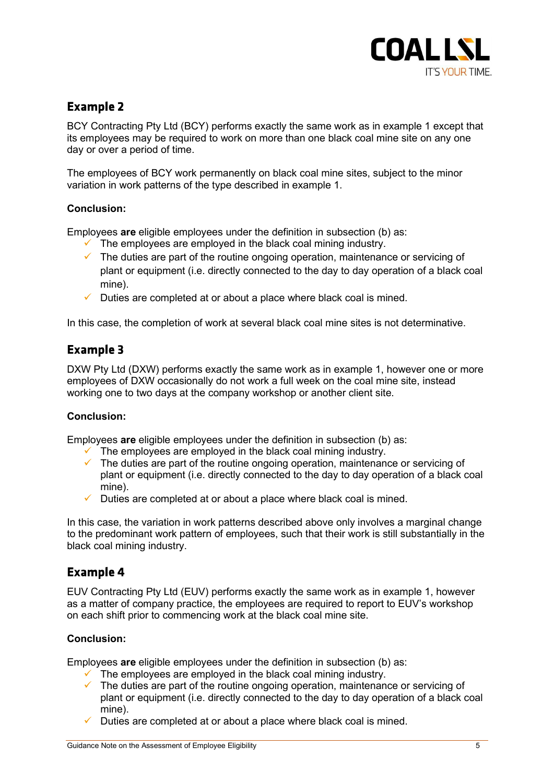

## **Example 2**

BCY Contracting Pty Ltd (BCY) performs exactly the same work as in example 1 except that its employees may be required to work on more than one black coal mine site on any one day or over a period of time.

The employees of BCY work permanently on black coal mine sites, subject to the minor variation in work patterns of the type described in example 1.

### Conclusion:

Employees are eligible employees under the definition in subsection (b) as:

- $\checkmark$  The employees are employed in the black coal mining industry.
- $\checkmark$  The duties are part of the routine ongoing operation, maintenance or servicing of plant or equipment (i.e. directly connected to the day to day operation of a black coal mine).
- $\checkmark$  Duties are completed at or about a place where black coal is mined.

In this case, the completion of work at several black coal mine sites is not determinative.

### **Example 3**

DXW Pty Ltd (DXW) performs exactly the same work as in example 1, however one or more employees of DXW occasionally do not work a full week on the coal mine site, instead working one to two days at the company workshop or another client site.

### Conclusion:

Employees are eligible employees under the definition in subsection (b) as:

- $\checkmark$  The employees are employed in the black coal mining industry.
- $\checkmark$  The duties are part of the routine ongoing operation, maintenance or servicing of plant or equipment (i.e. directly connected to the day to day operation of a black coal mine).
- $\checkmark$  Duties are completed at or about a place where black coal is mined.

In this case, the variation in work patterns described above only involves a marginal change to the predominant work pattern of employees, such that their work is still substantially in the black coal mining industry.

### **Example 4**

EUV Contracting Pty Ltd (EUV) performs exactly the same work as in example 1, however as a matter of company practice, the employees are required to report to EUV's workshop on each shift prior to commencing work at the black coal mine site.

### Conclusion:

Employees are eligible employees under the definition in subsection (b) as:

- $\checkmark$  The employees are employed in the black coal mining industry.
- $\checkmark$  The duties are part of the routine ongoing operation, maintenance or servicing of plant or equipment (i.e. directly connected to the day to day operation of a black coal mine).
- $\checkmark$  Duties are completed at or about a place where black coal is mined.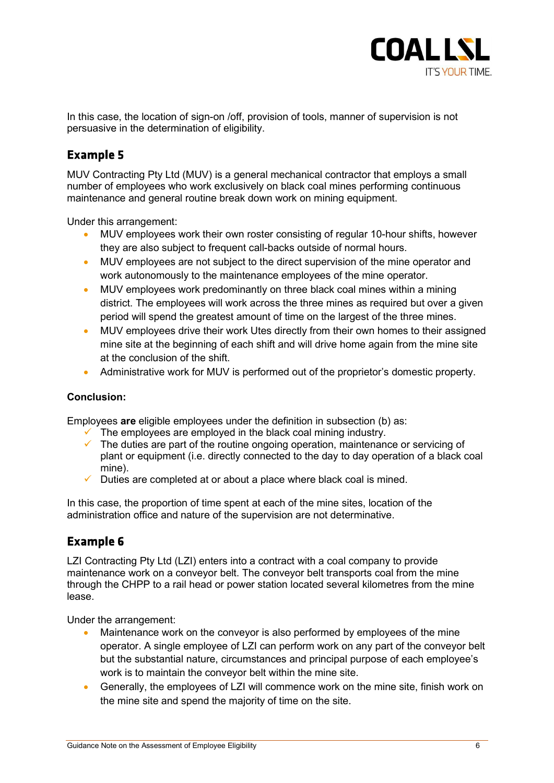

In this case, the location of sign-on /off, provision of tools, manner of supervision is not persuasive in the determination of eligibility.

## **Example 5**

MUV Contracting Pty Ltd (MUV) is a general mechanical contractor that employs a small number of employees who work exclusively on black coal mines performing continuous maintenance and general routine break down work on mining equipment.

Under this arrangement:

- MUV employees work their own roster consisting of regular 10-hour shifts, however they are also subject to frequent call-backs outside of normal hours.
- MUV employees are not subject to the direct supervision of the mine operator and work autonomously to the maintenance employees of the mine operator.
- MUV employees work predominantly on three black coal mines within a mining district. The employees will work across the three mines as required but over a given period will spend the greatest amount of time on the largest of the three mines.
- MUV employees drive their work Utes directly from their own homes to their assigned mine site at the beginning of each shift and will drive home again from the mine site at the conclusion of the shift.
- Administrative work for MUV is performed out of the proprietor's domestic property.

### Conclusion:

Employees are eligible employees under the definition in subsection (b) as:

- The employees are employed in the black coal mining industry.<br>
The duties are part of the routine ongoing operation, maintenan
- The duties are part of the routine ongoing operation, maintenance or servicing of plant or equipment (i.e. directly connected to the day to day operation of a black coal mine).
- $\checkmark$  Duties are completed at or about a place where black coal is mined.

In this case, the proportion of time spent at each of the mine sites, location of the administration office and nature of the supervision are not determinative.

## **Example 6**

LZI Contracting Pty Ltd (LZI) enters into a contract with a coal company to provide maintenance work on a conveyor belt. The conveyor belt transports coal from the mine through the CHPP to a rail head or power station located several kilometres from the mine lease.

Under the arrangement:

- Maintenance work on the conveyor is also performed by employees of the mine operator. A single employee of LZI can perform work on any part of the conveyor belt but the substantial nature, circumstances and principal purpose of each employee's work is to maintain the conveyor belt within the mine site.
- Generally, the employees of LZI will commence work on the mine site, finish work on the mine site and spend the majority of time on the site.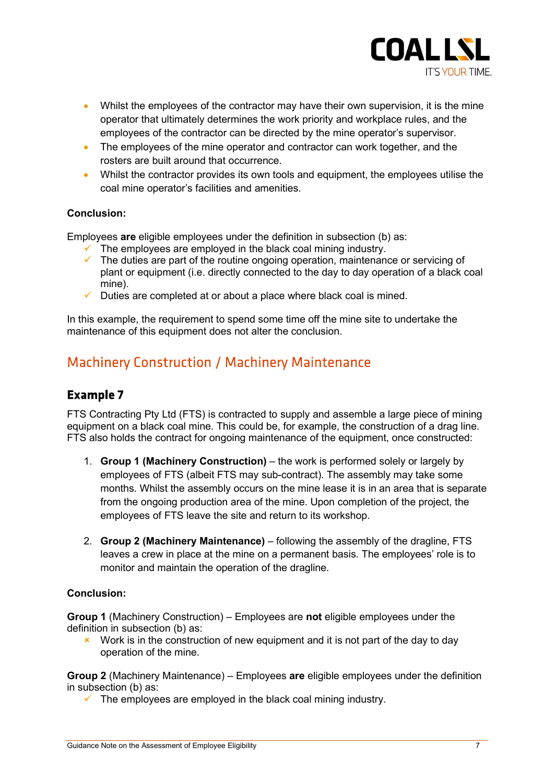

- Whilst the employees of the contractor may have their own supervision, it is the mine operator that ultimately determines the work priority and workplace rules, and the employees of the contractor can be directed by the mine operator's supervisor.
- The employees of the mine operator and contractor can work together, and the rosters are built around that occurrence.
- Whilst the contractor provides its own tools and equipment, the employees utilise the coal mine operator's facilities and amenities.

### Conclusion:

Employees are eligible employees under the definition in subsection (b) as:

- The employees are employed in the black coal mining industry.
- $\checkmark$  The duties are part of the routine ongoing operation, maintenance or servicing of plant or equipment (i.e. directly connected to the day to day operation of a black coal mine).
- Duties are completed at or about a place where black coal is mined.

In this example, the requirement to spend some time off the mine site to undertake the maintenance of this equipment does not alter the conclusion.

## **Machinery Construction / Machinery Maintenance**

### **Example 7**

FTS Contracting Pty Ltd (FTS) is contracted to supply and assemble a large piece of mining equipment on a black coal mine. This could be, for example, the construction of a drag line. FTS also holds the contract for ongoing maintenance of the equipment, once constructed:

- 1. Group 1 (Machinery Construction) the work is performed solely or largely by employees of FTS (albeit FTS may sub-contract). The assembly may take some months. Whilst the assembly occurs on the mine lease it is in an area that is separate from the ongoing production area of the mine. Upon completion of the project, the employees of FTS leave the site and return to its workshop.
- 2. Group 2 (Machinery Maintenance) following the assembly of the dragline, FTS leaves a crew in place at the mine on a permanent basis. The employees' role is to monitor and maintain the operation of the dragline.

### Conclusion:

Group 1 (Machinery Construction) – Employees are not eligible employees under the definition in subsection (b) as:

Work is in the construction of new equipment and it is not part of the day to day operation of the mine.

Group 2 (Machinery Maintenance) – Employees are eligible employees under the definition in subsection (b) as:

 $\checkmark$  The employees are employed in the black coal mining industry.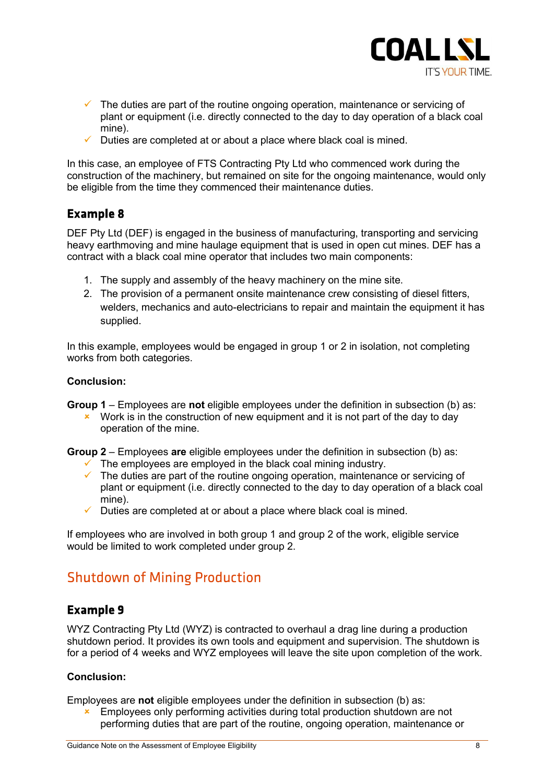

- $\checkmark$  The duties are part of the routine ongoing operation, maintenance or servicing of plant or equipment (i.e. directly connected to the day to day operation of a black coal mine).
- $\checkmark$  Duties are completed at or about a place where black coal is mined.

In this case, an employee of FTS Contracting Pty Ltd who commenced work during the construction of the machinery, but remained on site for the ongoing maintenance, would only be eligible from the time they commenced their maintenance duties.

### **Example 8**

DEF Pty Ltd (DEF) is engaged in the business of manufacturing, transporting and servicing heavy earthmoving and mine haulage equipment that is used in open cut mines. DEF has a contract with a black coal mine operator that includes two main components:

- 1. The supply and assembly of the heavy machinery on the mine site.
- 2. The provision of a permanent onsite maintenance crew consisting of diesel fitters, welders, mechanics and auto-electricians to repair and maintain the equipment it has supplied.

In this example, employees would be engaged in group 1 or 2 in isolation, not completing works from both categories.

### Conclusion:

**Group 1** – Employees are not eligible employees under the definition in subsection (b) as:

 $\cdot$  Work is in the construction of new equipment and it is not part of the day to day operation of the mine.

Group 2 – Employees are eligible employees under the definition in subsection (b) as:

- $\checkmark$  The employees are employed in the black coal mining industry.
- $\checkmark$  The duties are part of the routine ongoing operation, maintenance or servicing of plant or equipment (i.e. directly connected to the day to day operation of a black coal mine).
- $\checkmark$  Duties are completed at or about a place where black coal is mined.

If employees who are involved in both group 1 and group 2 of the work, eligible service would be limited to work completed under group 2.

## **Shutdown of Mining Production**

### **Example 9**

WYZ Contracting Pty Ltd (WYZ) is contracted to overhaul a drag line during a production shutdown period. It provides its own tools and equipment and supervision. The shutdown is for a period of 4 weeks and WYZ employees will leave the site upon completion of the work.

### Conclusion:

Employees are not eligible employees under the definition in subsection (b) as:

**Employees only performing activities during total production shutdown are not** performing duties that are part of the routine, ongoing operation, maintenance or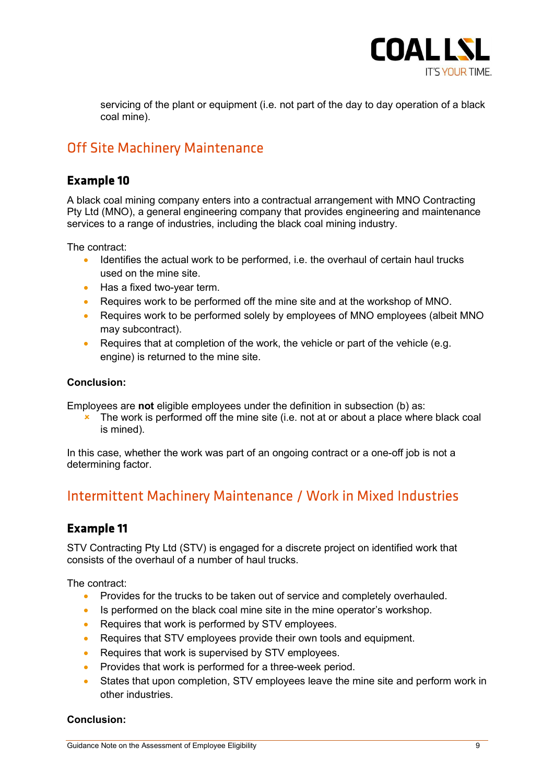

servicing of the plant or equipment (i.e. not part of the day to day operation of a black coal mine).

## **Off Site Machinery Maintenance**

### **Example 10**

A black coal mining company enters into a contractual arrangement with MNO Contracting Pty Ltd (MNO), a general engineering company that provides engineering and maintenance services to a range of industries, including the black coal mining industry.

The contract:

- Identifies the actual work to be performed, i.e. the overhaul of certain haul trucks used on the mine site.
- Has a fixed two-year term.
- Requires work to be performed off the mine site and at the workshop of MNO.
- Requires work to be performed solely by employees of MNO employees (albeit MNO may subcontract).
- Requires that at completion of the work, the vehicle or part of the vehicle (e.g. engine) is returned to the mine site.

### Conclusion:

Employees are not eligible employees under the definition in subsection (b) as:

 $\cdot$  The work is performed off the mine site (i.e. not at or about a place where black coal is mined).

In this case, whether the work was part of an ongoing contract or a one-off job is not a determining factor.

## Intermittent Machinery Maintenance / Work in Mixed Industries

## **Example 11**

STV Contracting Pty Ltd (STV) is engaged for a discrete project on identified work that consists of the overhaul of a number of haul trucks.

The contract:

- **Provides for the trucks to be taken out of service and completely overhauled.**
- Is performed on the black coal mine site in the mine operator's workshop.
- Requires that work is performed by STV employees.
- Requires that STV employees provide their own tools and equipment.
- Requires that work is supervised by STV employees.
- Provides that work is performed for a three-week period.
- States that upon completion, STV employees leave the mine site and perform work in other industries.

### Conclusion: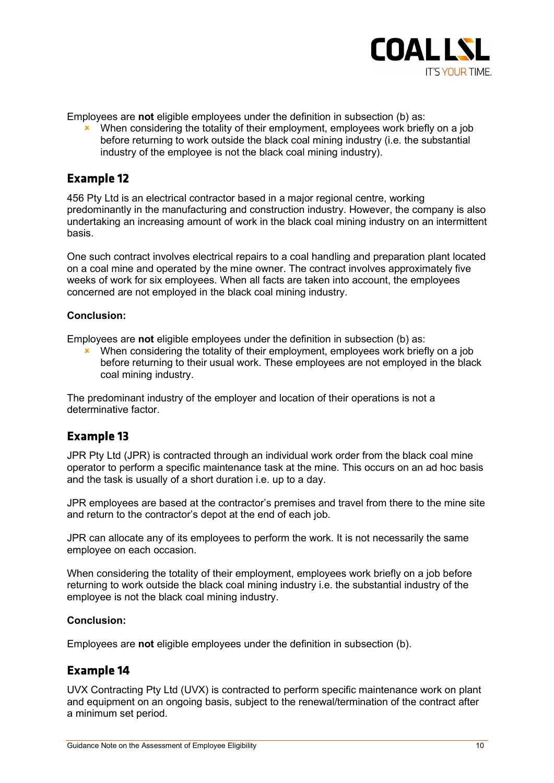

Employees are not eligible employees under the definition in subsection (b) as:

 When considering the totality of their employment, employees work briefly on a job before returning to work outside the black coal mining industry (i.e. the substantial industry of the employee is not the black coal mining industry).

## **Example 12**

456 Pty Ltd is an electrical contractor based in a major regional centre, working predominantly in the manufacturing and construction industry. However, the company is also undertaking an increasing amount of work in the black coal mining industry on an intermittent basis.

One such contract involves electrical repairs to a coal handling and preparation plant located on a coal mine and operated by the mine owner. The contract involves approximately five weeks of work for six employees. When all facts are taken into account, the employees concerned are not employed in the black coal mining industry.

### Conclusion:

Employees are not eligible employees under the definition in subsection (b) as:

**x** When considering the totality of their employment, employees work briefly on a job before returning to their usual work. These employees are not employed in the black coal mining industry.

The predominant industry of the employer and location of their operations is not a determinative factor.

### **Example 13**

JPR Pty Ltd (JPR) is contracted through an individual work order from the black coal mine operator to perform a specific maintenance task at the mine. This occurs on an ad hoc basis and the task is usually of a short duration i.e. up to a day.

JPR employees are based at the contractor's premises and travel from there to the mine site and return to the contractor's depot at the end of each job.

JPR can allocate any of its employees to perform the work. It is not necessarily the same employee on each occasion.

When considering the totality of their employment, employees work briefly on a job before returning to work outside the black coal mining industry i.e. the substantial industry of the employee is not the black coal mining industry.

### Conclusion:

Employees are not eligible employees under the definition in subsection (b).

### **Example 14**

UVX Contracting Pty Ltd (UVX) is contracted to perform specific maintenance work on plant and equipment on an ongoing basis, subject to the renewal/termination of the contract after a minimum set period.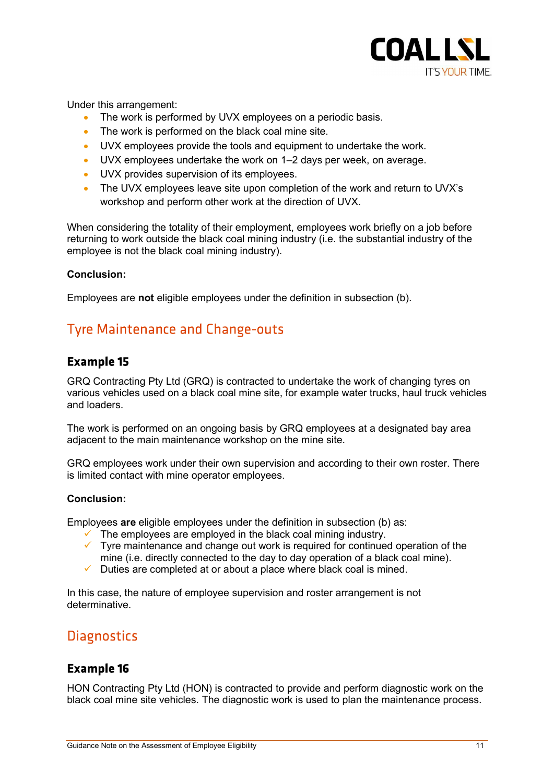

Under this arrangement:

- The work is performed by UVX employees on a periodic basis.
- The work is performed on the black coal mine site.
- UVX employees provide the tools and equipment to undertake the work.
- UVX employees undertake the work on 1–2 days per week, on average.
- UVX provides supervision of its employees.
- The UVX employees leave site upon completion of the work and return to UVX's workshop and perform other work at the direction of UVX.

When considering the totality of their employment, employees work briefly on a job before returning to work outside the black coal mining industry (i.e. the substantial industry of the employee is not the black coal mining industry).

### Conclusion:

Employees are not eligible employees under the definition in subsection (b).

## **Tyre Maintenance and Change-outs**

### **Example 15**

GRQ Contracting Pty Ltd (GRQ) is contracted to undertake the work of changing tyres on various vehicles used on a black coal mine site, for example water trucks, haul truck vehicles and loaders.

The work is performed on an ongoing basis by GRQ employees at a designated bay area adjacent to the main maintenance workshop on the mine site.

GRQ employees work under their own supervision and according to their own roster. There is limited contact with mine operator employees.

### Conclusion:

Employees are eligible employees under the definition in subsection (b) as:

- $\checkmark$  The employees are employed in the black coal mining industry.
- $\checkmark$  Tyre maintenance and change out work is required for continued operation of the mine (i.e. directly connected to the day to day operation of a black coal mine).
- $\checkmark$  Duties are completed at or about a place where black coal is mined.

In this case, the nature of employee supervision and roster arrangement is not determinative.

## **Diagnostics**

### **Example 16**

HON Contracting Pty Ltd (HON) is contracted to provide and perform diagnostic work on the black coal mine site vehicles. The diagnostic work is used to plan the maintenance process.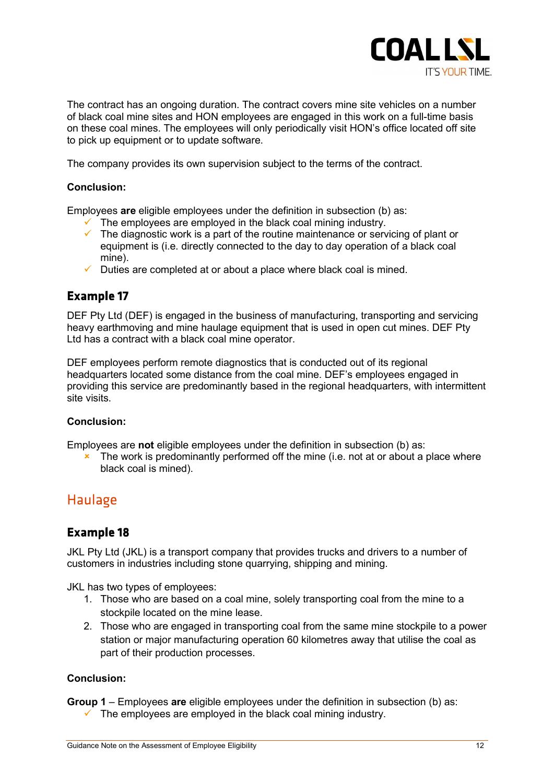

The contract has an ongoing duration. The contract covers mine site vehicles on a number of black coal mine sites and HON employees are engaged in this work on a full-time basis on these coal mines. The employees will only periodically visit HON's office located off site to pick up equipment or to update software.

The company provides its own supervision subject to the terms of the contract.

#### Conclusion:

Employees are eligible employees under the definition in subsection (b) as:

- $\checkmark$  The employees are employed in the black coal mining industry.
- $\checkmark$  The diagnostic work is a part of the routine maintenance or servicing of plant or equipment is (i.e. directly connected to the day to day operation of a black coal mine).
- Duties are completed at or about a place where black coal is mined.

### **Example 17**

DEF Pty Ltd (DEF) is engaged in the business of manufacturing, transporting and servicing heavy earthmoving and mine haulage equipment that is used in open cut mines. DEF Pty Ltd has a contract with a black coal mine operator.

DEF employees perform remote diagnostics that is conducted out of its regional headquarters located some distance from the coal mine. DEF's employees engaged in providing this service are predominantly based in the regional headquarters, with intermittent site visits.

#### Conclusion:

Employees are not eligible employees under the definition in subsection (b) as:

 $\overline{\phantom{a}}$  The work is predominantly performed off the mine (i.e. not at or about a place where black coal is mined).

## **Haulage**

### **Example 18**

JKL Pty Ltd (JKL) is a transport company that provides trucks and drivers to a number of customers in industries including stone quarrying, shipping and mining.

JKL has two types of employees:

- 1. Those who are based on a coal mine, solely transporting coal from the mine to a stockpile located on the mine lease.
- 2. Those who are engaged in transporting coal from the same mine stockpile to a power station or major manufacturing operation 60 kilometres away that utilise the coal as part of their production processes.

#### Conclusion:

**Group 1** – Employees are eligible employees under the definition in subsection (b) as:  $\checkmark$  The employees are employed in the black coal mining industry.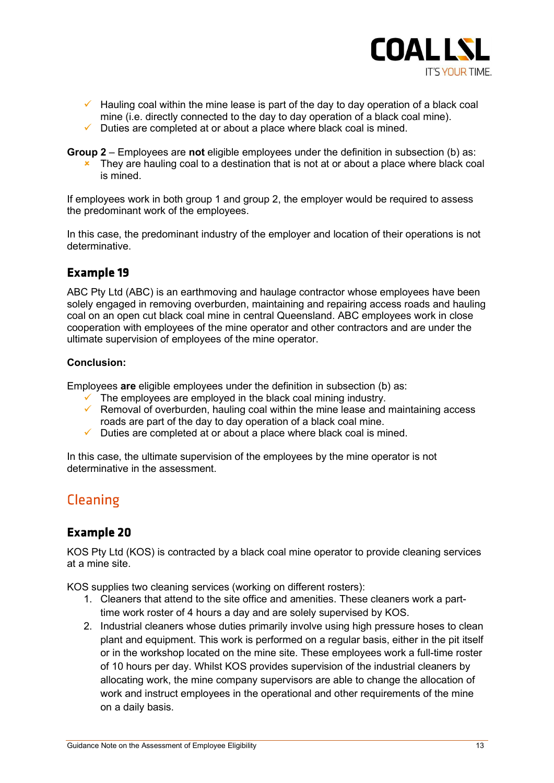

- Hauling coal within the mine lease is part of the day to day operation of a black coal mine (i.e. directly connected to the day to day operation of a black coal mine).
- Duties are completed at or about a place where black coal is mined.

Group  $2$  – Employees are not eligible employees under the definition in subsection (b) as:

 $\star$  They are hauling coal to a destination that is not at or about a place where black coal is mined.

If employees work in both group 1 and group 2, the employer would be required to assess the predominant work of the employees.

In this case, the predominant industry of the employer and location of their operations is not determinative.

## **Example 19**

ABC Pty Ltd (ABC) is an earthmoving and haulage contractor whose employees have been solely engaged in removing overburden, maintaining and repairing access roads and hauling coal on an open cut black coal mine in central Queensland. ABC employees work in close cooperation with employees of the mine operator and other contractors and are under the ultimate supervision of employees of the mine operator.

### Conclusion:

Employees are eligible employees under the definition in subsection (b) as:

- $\checkmark$  The employees are employed in the black coal mining industry.
- $\checkmark$  Removal of overburden, hauling coal within the mine lease and maintaining access roads are part of the day to day operation of a black coal mine.
- $\checkmark$  Duties are completed at or about a place where black coal is mined.

In this case, the ultimate supervision of the employees by the mine operator is not determinative in the assessment.

## **Cleaning**

## **Example 20**

KOS Pty Ltd (KOS) is contracted by a black coal mine operator to provide cleaning services at a mine site.

KOS supplies two cleaning services (working on different rosters):

- 1. Cleaners that attend to the site office and amenities. These cleaners work a parttime work roster of 4 hours a day and are solely supervised by KOS.
- 2. Industrial cleaners whose duties primarily involve using high pressure hoses to clean plant and equipment. This work is performed on a regular basis, either in the pit itself or in the workshop located on the mine site. These employees work a full-time roster of 10 hours per day. Whilst KOS provides supervision of the industrial cleaners by allocating work, the mine company supervisors are able to change the allocation of work and instruct employees in the operational and other requirements of the mine on a daily basis.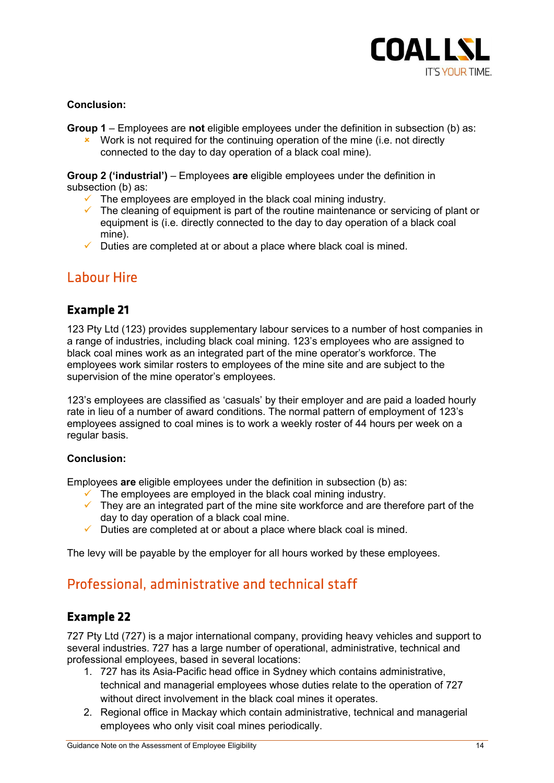

### Conclusion:

**Group 1** – Employees are not eligible employees under the definition in subsection (b) as:

 $\cdot$  Work is not required for the continuing operation of the mine (i.e. not directly connected to the day to day operation of a black coal mine).

Group 2 ('industrial') – Employees are eligible employees under the definition in subsection (b) as:

- $\checkmark$  The employees are employed in the black coal mining industry.<br> $\checkmark$  The cleaning of equipment is part of the routine maintenance or
- The cleaning of equipment is part of the routine maintenance or servicing of plant or equipment is (i.e. directly connected to the day to day operation of a black coal mine).
- Duties are completed at or about a place where black coal is mined.

## **Labour Hire**

### **Example 21**

123 Pty Ltd (123) provides supplementary labour services to a number of host companies in a range of industries, including black coal mining. 123's employees who are assigned to black coal mines work as an integrated part of the mine operator's workforce. The employees work similar rosters to employees of the mine site and are subject to the supervision of the mine operator's employees.

123's employees are classified as 'casuals' by their employer and are paid a loaded hourly rate in lieu of a number of award conditions. The normal pattern of employment of 123's employees assigned to coal mines is to work a weekly roster of 44 hours per week on a regular basis.

### Conclusion:

Employees are eligible employees under the definition in subsection (b) as:

- $\checkmark$  The employees are employed in the black coal mining industry.
- $\checkmark$  They are an integrated part of the mine site workforce and are therefore part of the day to day operation of a black coal mine.
- $\checkmark$  Duties are completed at or about a place where black coal is mined.

The levy will be payable by the employer for all hours worked by these employees.

## Professional, administrative and technical staff

### **Example 22**

727 Pty Ltd (727) is a major international company, providing heavy vehicles and support to several industries. 727 has a large number of operational, administrative, technical and professional employees, based in several locations:

- 1. 727 has its Asia-Pacific head office in Sydney which contains administrative, technical and managerial employees whose duties relate to the operation of 727 without direct involvement in the black coal mines it operates.
- 2. Regional office in Mackay which contain administrative, technical and managerial employees who only visit coal mines periodically.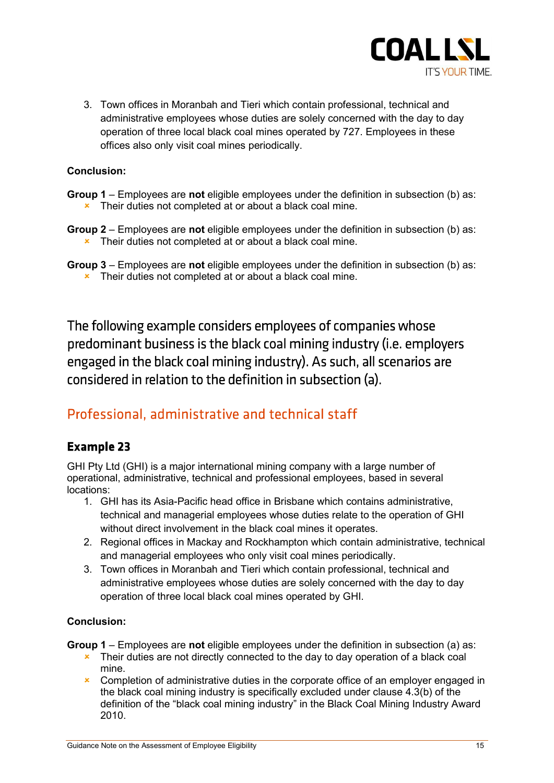

3. Town offices in Moranbah and Tieri which contain professional, technical and administrative employees whose duties are solely concerned with the day to day operation of three local black coal mines operated by 727. Employees in these offices also only visit coal mines periodically.

### Conclusion:

- Group 1 Employees are not eligible employees under the definition in subsection (b) as: **\*** Their duties not completed at or about a black coal mine.
- **Group 2** Employees are **not** eligible employees under the definition in subsection (b) as: **\*** Their duties not completed at or about a black coal mine.
- Group 3 Employees are not eligible employees under the definition in subsection (b) as: **\*** Their duties not completed at or about a black coal mine.

The following example considers employees of companies whose predominant business is the black coal mining industry (i.e. employers engaged in the black coal mining industry). As such, all scenarios are considered in relation to the definition in subsection (a).

## Professional, administrative and technical staff

## **Example 23**

GHI Pty Ltd (GHI) is a major international mining company with a large number of operational, administrative, technical and professional employees, based in several locations:

- 1. GHI has its Asia-Pacific head office in Brisbane which contains administrative, technical and managerial employees whose duties relate to the operation of GHI without direct involvement in the black coal mines it operates.
- 2. Regional offices in Mackay and Rockhampton which contain administrative, technical and managerial employees who only visit coal mines periodically.
- 3. Town offices in Moranbah and Tieri which contain professional, technical and administrative employees whose duties are solely concerned with the day to day operation of three local black coal mines operated by GHI.

### Conclusion:

**Group 1** – Employees are not eligible employees under the definition in subsection (a) as:

- **\*** Their duties are not directly connected to the day to day operation of a black coal mine.
- **\*** Completion of administrative duties in the corporate office of an employer engaged in the black coal mining industry is specifically excluded under clause 4.3(b) of the definition of the "black coal mining industry" in the Black Coal Mining Industry Award 2010.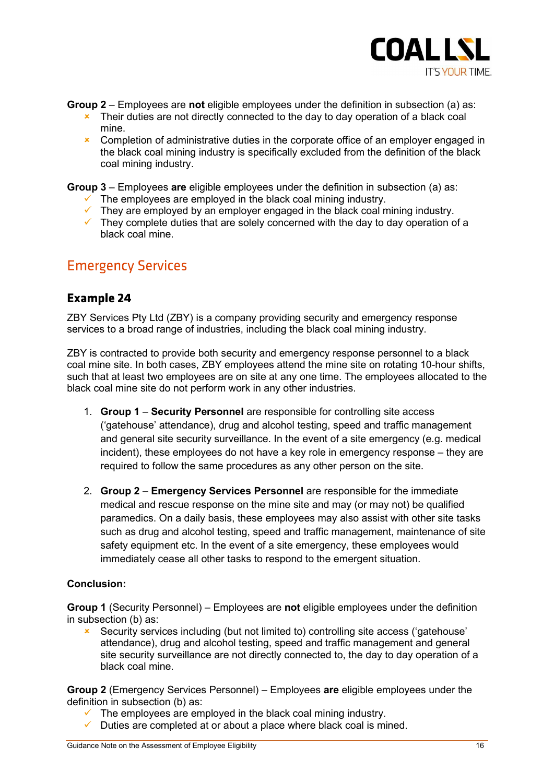

**Group 2** – Employees are not eligible employees under the definition in subsection (a) as:

- $\overline{\phantom{a}}$  Their duties are not directly connected to the day to day operation of a black coal mine.
- **x** Completion of administrative duties in the corporate office of an employer engaged in the black coal mining industry is specifically excluded from the definition of the black coal mining industry.

**Group 3** – Employees are eligible employees under the definition in subsection (a) as:

- $\checkmark$  The employees are employed in the black coal mining industry.
- $\checkmark$  They are employed by an employer engaged in the black coal mining industry.
- $\checkmark$  They complete duties that are solely concerned with the day to day operation of a black coal mine.

## **Emergency Services**

### **Example 24**

ZBY Services Pty Ltd (ZBY) is a company providing security and emergency response services to a broad range of industries, including the black coal mining industry.

ZBY is contracted to provide both security and emergency response personnel to a black coal mine site. In both cases, ZBY employees attend the mine site on rotating 10-hour shifts, such that at least two employees are on site at any one time. The employees allocated to the black coal mine site do not perform work in any other industries.

- 1. Group 1 Security Personnel are responsible for controlling site access ('gatehouse' attendance), drug and alcohol testing, speed and traffic management and general site security surveillance. In the event of a site emergency (e.g. medical incident), these employees do not have a key role in emergency response – they are required to follow the same procedures as any other person on the site.
- 2. Group 2 Emergency Services Personnel are responsible for the immediate medical and rescue response on the mine site and may (or may not) be qualified paramedics. On a daily basis, these employees may also assist with other site tasks such as drug and alcohol testing, speed and traffic management, maintenance of site safety equipment etc. In the event of a site emergency, these employees would immediately cease all other tasks to respond to the emergent situation.

### Conclusion:

Group 1 (Security Personnel) – Employees are not eligible employees under the definition in subsection (b) as:

 Security services including (but not limited to) controlling site access ('gatehouse' attendance), drug and alcohol testing, speed and traffic management and general site security surveillance are not directly connected to, the day to day operation of a black coal mine.

Group 2 (Emergency Services Personnel) – Employees are eligible employees under the definition in subsection (b) as:

- $\checkmark$  The employees are employed in the black coal mining industry.
- $\checkmark$  Duties are completed at or about a place where black coal is mined.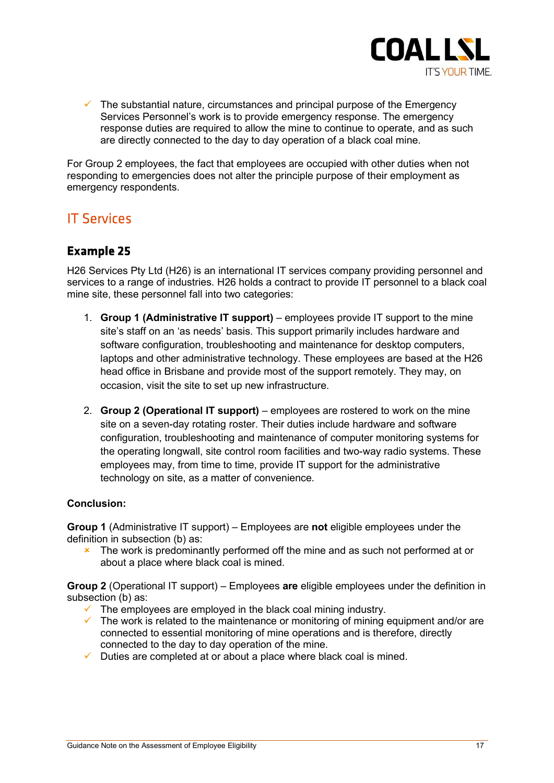

 $\checkmark$  The substantial nature, circumstances and principal purpose of the Emergency Services Personnel's work is to provide emergency response. The emergency response duties are required to allow the mine to continue to operate, and as such are directly connected to the day to day operation of a black coal mine.

For Group 2 employees, the fact that employees are occupied with other duties when not responding to emergencies does not alter the principle purpose of their employment as emergency respondents.

## **IT Services**

## **Example 25**

H26 Services Pty Ltd (H26) is an international IT services company providing personnel and services to a range of industries. H26 holds a contract to provide IT personnel to a black coal mine site, these personnel fall into two categories:

- 1. Group 1 (Administrative IT support) employees provide IT support to the mine site's staff on an 'as needs' basis. This support primarily includes hardware and software configuration, troubleshooting and maintenance for desktop computers, laptops and other administrative technology. These employees are based at the H26 head office in Brisbane and provide most of the support remotely. They may, on occasion, visit the site to set up new infrastructure.
- 2. Group 2 (Operational IT support) employees are rostered to work on the mine site on a seven-day rotating roster. Their duties include hardware and software configuration, troubleshooting and maintenance of computer monitoring systems for the operating longwall, site control room facilities and two-way radio systems. These employees may, from time to time, provide IT support for the administrative technology on site, as a matter of convenience.

### Conclusion:

Group 1 (Administrative IT support) – Employees are not eligible employees under the definition in subsection (b) as:

**\*** The work is predominantly performed off the mine and as such not performed at or about a place where black coal is mined.

Group 2 (Operational IT support) – Employees are eligible employees under the definition in subsection (b) as:

- $\checkmark$  The employees are employed in the black coal mining industry.
- $\checkmark$  The work is related to the maintenance or monitoring of mining equipment and/or are connected to essential monitoring of mine operations and is therefore, directly connected to the day to day operation of the mine.
- $\checkmark$  Duties are completed at or about a place where black coal is mined.